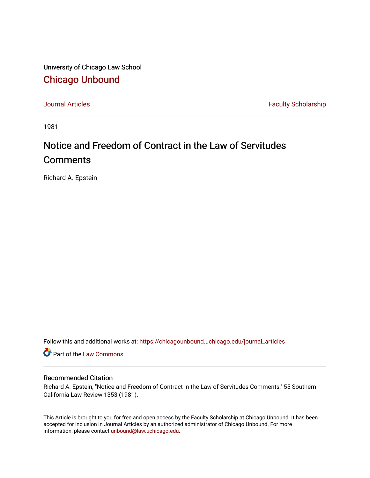University of Chicago Law School [Chicago Unbound](https://chicagounbound.uchicago.edu/)

[Journal Articles](https://chicagounbound.uchicago.edu/journal_articles) **Faculty Scholarship Faculty Scholarship** 

1981

# Notice and Freedom of Contract in the Law of Servitudes **Comments**

Richard A. Epstein

Follow this and additional works at: [https://chicagounbound.uchicago.edu/journal\\_articles](https://chicagounbound.uchicago.edu/journal_articles?utm_source=chicagounbound.uchicago.edu%2Fjournal_articles%2F1194&utm_medium=PDF&utm_campaign=PDFCoverPages) 

Part of the [Law Commons](http://network.bepress.com/hgg/discipline/578?utm_source=chicagounbound.uchicago.edu%2Fjournal_articles%2F1194&utm_medium=PDF&utm_campaign=PDFCoverPages)

# Recommended Citation

Richard A. Epstein, "Notice and Freedom of Contract in the Law of Servitudes Comments," 55 Southern California Law Review 1353 (1981).

This Article is brought to you for free and open access by the Faculty Scholarship at Chicago Unbound. It has been accepted for inclusion in Journal Articles by an authorized administrator of Chicago Unbound. For more information, please contact [unbound@law.uchicago.edu](mailto:unbound@law.uchicago.edu).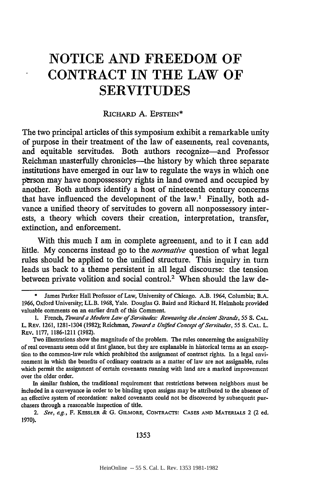# **NOTICE AND FREEDOM OF CONTRACT IN THE LAW OF SERVITUDES**

### RICHARD **A.** EPSTEIN\*

The two principal articles of this symposium exhibit a remarkable unity of purpose in their treatment of the law of easements, real covenants, and equitable servitudes. Both authors recognize—and Professor Reichman masterfully chronicles-the history **by** which three separate institutions have emerged in our law to regulate the ways in which one pbrson may have nonpossessory rights in land owned and occupied **by** another. Both authors identify a host of nineteenth century concerns that have influenced the development of the  $law<sup>1</sup>$ . Finally, both advance a unified theory of servitudes to govern all nonpossessory interests, a theory which covers their creation, interpretation, transfer, extinction, and enforcement.

With this much I am in complete agreement, and to it I can add little. **My** concerns instead go to the *normative* question of what legal rules should be applied to the unified structure. This inquiry in turn leads us back to a theme persistent in all legal discourse: the tension between private volition and social control.<sup>2</sup> When should the law de-

- James Parker Hall Professor of Law, University of Chicago. A.B. 1964, Columbia; B.A. 1966, Oxford University; LL.B. 1968, Yale. Douglas G. Baird and Richard H. Helmholz provided valuable comments on an earlier draft of this Comment.
- **1.** French, *Toward a Modern Law of Servitudes: Reweaving the Ancient Strands, 55 S.* **CAL.** L. REv. 1261, 1281-1304 (1982); Reichman, *Towarda Unfied Concept of Servitudes, 55 S.* **CAL.** L. REv. 1177, 1186-1211 (1982).

In similar fashion, the traditional requirement that restrictions between neighbors must be included in a conveyance in order to be binding upon assigns may be attributed to the absence of an effective system of recordation: naked covenants could not be discovered by subsequefit purchasers through a reasonable inspection of title.

*2. See, e.g.,* F. KESSLER & G. GILMORE, **CONTRACTS: CASES AND** MATERIALS 2 (2 ed. 1970).

1353

Two illustrations show the magnitude of the problem. The rules concerning the assignability of real covenants seem odd at first glance, but they are explanable in historical terms as an exception to the common-law rule which prohibited the assignment of contract rights. In a legal environment in which the benefits of ordinary contracts as a matter of law are not assignable, rules which permit the assignment of certain covenants running with land are a marked improvement over the older order.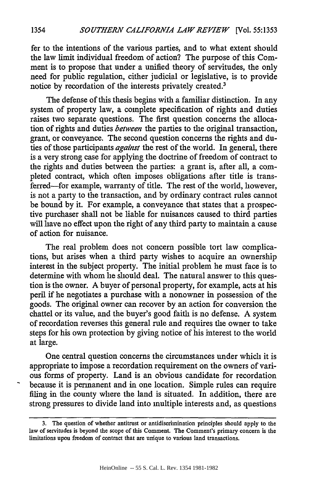fer to the intentions of the various parties, and to what extent should the law limit individual freedom of action? The purpose of this Comment is to propose that under a unified theory of servitudes, the only need for public regulation, either judicial or legislative, is to provide notice by recordation of the interests privately created.<sup>3</sup>

The defense of this thesis begins with a familiar distinction. In any system of property law, a complete specification of rights and duties raises two separate questions. The first question concerns the allocation of rights and duties *between* the parties to the original transaction, grant, or conveyance. The second question concerns the rights and duties of those participants *against* the rest of the world. In general, there is a very strong case for applying the doctrine of freedom of contract to the rights and duties between the parties: a grant is, after all, a completed contract, which often imposes obligations after title is transferred-for example, warranty of title. The rest of the world, however, is not a party to the transaction, and by ordinary contract rules cannot be bound by it. For example, a conveyance that states that a prospective purchaser shall not be liable for nuisances caused to third parties will have no effect upon the right of any third party to maintain a cause of action for nuisance.

The real problem does not concern possible tort law complications, but arises when a third party wishes to acquire an ownership interest in the subject property. The initial problem he must face is to determine with whom he should deal. The natural answer to this question is the owner. A buyer of personal property, for example, acts at his peril if he negotiates a purchase with a nonowner in possession of the goods. The original owner can recover by an action for conversion the chattel or its value, and the buyer's good faith is no defense. A system of recordation reverses this general rule and requires the owner to take steps for his own protection by giving notice of his interest to the world at large.

One central question concerns the circumstances under which it is appropriate to impose a recordation requirement on the owners of various forms of property. Land is an obvious candidate for recordation because it is permanent and in one location. Simple rules can require filing in the county where the land is situated. In addition, there are strong pressures to divide land into multiple interests and, as questions

**<sup>3.</sup>** The question of whether antitrust or antidiscrimination principles should apply to the law of servitudes is beyond the scope of this Comment. The Comment's primary concern is the limitations upon freedom of contract that are unique to various land transactions.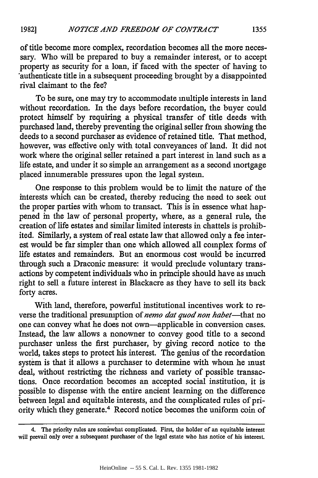of title become more complex, recordation becomes all the more necessary. Who will be prepared to buy a remainder interest, or to accept property as security for a loan, if faced with the specter of having to authenticate title in a subsequent proceeding brought by a disappointed rival claimant to the fee?

To be sure, one may try to accommodate multiple interests in land without recordation. In the days before recordation, the buyer could protect himself by requiring a physical transfer of title deeds with purchased land, thereby preventing the original seller from showing the deeds to a second purchaser as evidence of retained title. That method, however, was effective only with total conveyances of land. It did not work where the original seller retained a part interest in land such as a life estate, and under it so simple an arrangement as a second mortgage placed innumerable pressures upon the legal system.

One response to this problem would be to limit the nature of the interests which can be created, thereby reducing the need to seek out the proper parties with whom to transact. This is in essence what happened in the law of personal property, where, as a general rule, the creation of life estates and similar limited interests in chattels is prohibited. Similarly, a system of real estate law that allowed only a fee interest would be far simpler than one which allowed all complex forms of life estates and remainders. But an enormous cost would be incurred through such a Draconic measure: it would preclude voluntary transactions by competent individuals who in principle should have as much right to sell a future interest in Blackacre as they have to sell its back forty acres.

With land, therefore, powerful institutional incentives work to reverse the traditional presumption of *nemo dat quod non habet*-that no one can convey what he does not own-applicable in conversion cases. Instead, the law allows a nonowner to convey good title to a second purchaser unless the first purchaser, by giving record notice to the world, takes steps to protect his interest. The genius of the recordation system is that it allows a purchaser to determine with whom he must deal, without restricting the richness and variety of possible transactions. Once recordation becomes an accepted social institution, it is possible to dispense with the entire ancient learning on the difference between legal and equitable interests, and the complicated rules of priority which they generate.4 Record notice becomes the uniform coin of

<sup>4.</sup> The priority rules are somewhat complicated. First, the holder of an equitable interest will prevail only over a subsequent purchaser of the legal estate who has notice of his interest.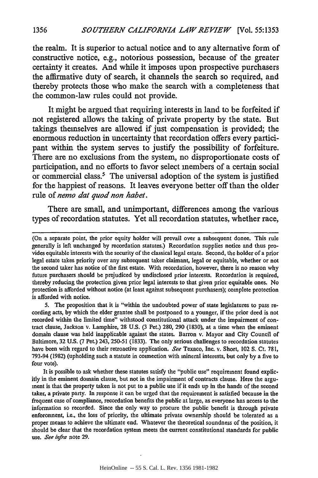the realm. It is superior to actual notice and to any alternative form of constructive notice, e.g., notorious possession, because of the greater certainty it creates. And while it imposes upon prospective purchasers the affirmative duty of search, it channels the search so required, and thereby protects those who make the search with a completeness that the common-law rules could not provide.

It might be argued that requiring interests in land to be forfeited if not registered allows the taking of private property **by** the state. But takings themselves are allowed if just compensation is provided; the enormous reduction in uncertainty that recordation offers every participant within the system serves to justify the possibility of forfeiture. There are no exclusions from the system, no disproportionate costs of participation, and no efforts to favor select members of a certain social or commercial class.<sup>5</sup> The universal adoption of the system is justified for the happiest of reasons. It leaves everyone better off than the older rule of *nemo dat quod non habet.*

There are small, and unimportant, differences among the various types of recordation statutes. Yet all recordation statutes, whether race,

5. The proposition that it is "within the undoubted power of state legislatures to pass recording acts, by which the elder grantee shall be postponed to a younger, if the prior deed is not recorded within the limited time" withstood constitutional attack under the impairment of contract clause, Jackson v. Lamphire, 28 U.S. (3 Pet.) 280, 290 (1830), at a time when the eminent domain clause was held inapplicable against the states. Barron v. Mayor and City Council of Baltimore, 32 **U.S.** (7 Pet.) 243, 250-51 (1833). The only serious challenges to recordation statutes have been with regard to their retroactive application. See Texaco, Inc. v. Short, 102 **S.** Ct. 781, 793-94 (1982) (upholding such a statute in connection with mineral interests, but only by a five to four vote).

It is possible to ask whether these statutes satisfy the "public use" requirement found explicitly in the eminent domain clause, but not in the impairment of contracts clause. Here the argument is that the property taken is not put to a public use if it ends up in the hands of the second taker, a private party. In response it can be urged that the requirement is satisfied because in the frequent case of compliance, recordation benefits the public at large, as everyone has access to the information so recorded. Since the only way to procure the public benefit is through private enforcement, i.e., the loss of priority, the ultimate private ownership should be tolerated as a proper means to achieve the ultimate end. Whatever the theoretical soundness of the position, it should be clear that the recordation system meets the current constitutional standards for public use. *See infra* note 29.

<sup>(</sup>On a separate point, the prior equity holder will prevail over a subsequent donee. This rule generally is left unchanged by recordation statutes.) Recordation supplies notice and thus provides equitable interests with the security of the classical legal estate. Second, the holder of a prior legal estate takes priority over any subsequent taker claimant, legal or equitable, whether or not the second taker has notice of the first estate. With recordation, however, there is no reason why future purchasers should be prejudiced by undisclosed prior interests. Recordation is required, thereby reducing the protection given prior legal interests to that given prior equitable ones. No protection is afforded without notice (at least against subsequent purchasers); complete protection is afforded with notice.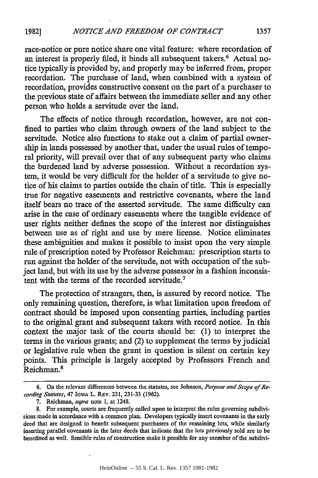race-notice or pure notice share one vital feature: where recordation of an interest is properly filed, it binds all subsequent takers.<sup>6</sup> Actual notice typically is provided by, and properly may be inferred from, proper recordation. The purchase of land, when combined with a system of recordation, provides constructive consent on the part of a purchaser to the previous state of affairs between the immediate seller and any other person who holds a servitude over the land.

The effects of notice through recordation, however, are not confined to parties who claim through owners of the land subject to the servitude. Notice also functions to stake out a claim of partial ownership in lands possessed by another that, under the usual rules of temporal priority, will prevail over that of any subsequent party who claims the burdened land by adverse possession. Without a recordation system, it would be very difficult for the holder of a servitude to give notice of his claims to parties outside the chain of title. This is especially true for negative easements and restrictive covenants, where the land itself bears no trace of the asserted servitude. The same difficulty can arise in the case of ordinary easements where the tangible evidence of user rights neither defines the scope of the interest nor distinguishes between use as of right and use by mere license. Notice eliminates these ambiguities and makes it possible to insist upon the very simple rule of prescription noted by Professor Reichman: prescription starts to run against the holder of the servitude, not with occupation of the subject land, but with its use by the adverse possessor in a fashion inconsistent with the terms of the recorded servitude.7

The protection of strangers, then, is assured by record notice. The only remaining question, therefore, is what limitation upon freedom of contract should be imposed upon consenting parties, including parties to the original grant and subsequent takers with record notice. In this context the major task of the courts should be: (1) to interpret the terms in the various grants; and (2) to supplement the terms by judicial or legislative rule when the grant in question is silent on certain key points. This principle is largely accepted by Professors French and Reichman.<sup>8</sup>

<sup>6.</sup> On the relevant differences between the statutes, see Johnson, *Purpose and Scope of Re*cording Statutes, 47 Iowa L. Rev. 231, 231-33 (1962).

<sup>7.</sup> Reichman, *supra* note 1, at 1248.

**<sup>8.</sup>** For example, courts are frequently called upon to interpret the rules governing subdivisions made in accordance with a common plan. Developers typically insert covenants in the early deed that are designed to benefit subsequent purchasers of the remaining lots, while similarly inserting parallel covenants in the later deeds that indicate that the lots previously sold are to be benefitted as well. Sensible rules of construction make it possible for any member of the subdivi-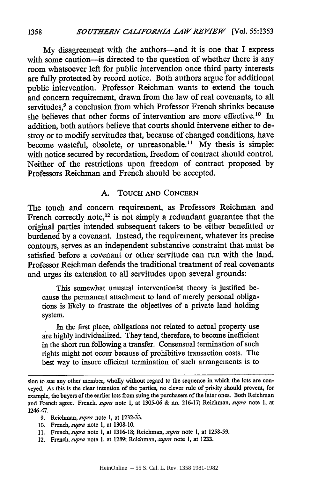My disagreement with the authors-and it is one that I express with some caution-is directed to the question of whether there is any room whatsoever left for public intervention once third party interests are fully protected by record notice. Both authors argue for additional public intervention. Professor Reichman wants to extend the touch and concern requirement, drawn from the law of real covenants, to all servitudes,<sup>9</sup> a conclusion from which Professor French shrinks because she believes that other forms of intervention are more effective.<sup>10</sup> In addition, both authors believe that courts should intervene either to destroy or to modify servitudes that, because of changed conditions, have become wasteful, obsolete, or unreasonable.<sup>11</sup> My thesis is simple: with notice secured by recordation, freedom of contract should control. Neither of the restrictions upon freedom of contract proposed by Professors Reichman and French should be accepted.

### A. TOUCH **AND CONCERN**

The touch and concern requirement, as Professors Reichman and French correctly note,<sup>12</sup> is not simply a redundant guarantee that the original parties intended subsequent takers to be either benefitted or burdened by a covenant. Instead, the requirement, whatever its precise contours, serves as an independent substantive constraint that must be satisfied before a covenant or other servitude can run with the land. Professor Reichman defends the traditional treatment of real covenants and urges its extension to all servitudes upon several grounds:

This somewhat unusual interventionist theory is justified because the permanent attachment to land of merely personal obligations is likely to frustrate the objectives of a private land holding system.

In the first place, obligations not related to actual property use are highly individualized. They tend, therefore, to become inefficient in the short run following a transfer. Consensual termination of such rights might not occur because of prohibitive transaction costs. The best way to insure efficient termination of such arrangements is to

sion to sue any other member, wholly without regard to the sequence in which the lots are conveyed. As this is the clear intention of the parties, no clever rule of privity should prevent, for example, the buyers of the earlier lots from suing the purchasers of the later ones. Both Reichman and French agree. French, *supra* note 1, at 1305-06 & nn. 216-17; Reichman, *supra* note **1,** at 1246-47.

<sup>9.</sup> Reichman, *supra* note 1, at 1232-33.

**<sup>10.</sup>** French, *supra* note 1, at 1308-10.

<sup>11.</sup> French, *supra* note 1, at 1316-18; Reichman, *supra* note **1,** at 1258-59.

<sup>12.</sup> French, *supra* note 1, at 1289; Reichman, *supra* note 1, at 1233.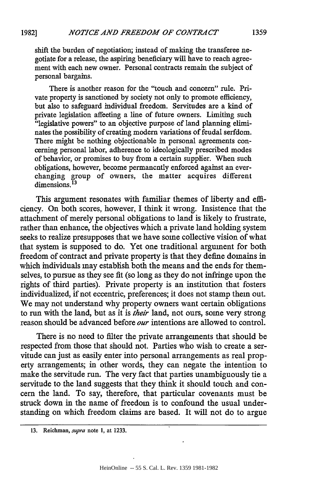shift the burden of negotiation; instead of making the transferee negotiate for a release, the aspiring beneficiary will have to reach agreement with each new owner. Personal contracts remain the subject of personal bargains.

There is another reason for the "touch and concern" rule. Private property is sanctioned by society not only to promote efficiency, but also to safeguard individual freedom. Servitudes are a kind of private legislation affecting a line of future owners. Limiting such "legislative powers" to an objective purpose of land planning eliminates the possibility of creating modern variations of feudal serfdom. There might be nothing objectionable in personal agreements concerning personal labor, adherence to ideologically prescribed modes of behavior, or promises to buy from a certain supplier. When such obligations, however, become permanently enforced against an everchanging group of owners, the matter acquires different dimensions. **13**

This argument resonates with familiar themes of liberty and efficiency. On both scores, however, I think it wrong. Insistence that the attachment of merely personal obligations to land is likely to frustrate, rather than enhance, the objectives which a private land holding system seeks to realize presupposes that we have some collective vision of what that system is supposed to do. Yet one traditional argument for both freedom of contract and private property is that they define domains in which individuals may establish both the means and the ends for themselves, to pursue as they see fit (so long as they do not infringe upon the rights of third parties). Private property is an institution that fosters individualized, if not eccentric, preferences; it does not stamp them out. We may not understand why property owners want certain obligations to run with the land, but as it is *their* land, not ours, some very strong reason should be advanced before *our* intentions are allowed to control.

There is no need to filter the private arrangements that should be respected from those that should not. Parties who wish to create a servitude can just as easily enter into personal arrangements as real property arrangements; in other words, they can negate the intention to make the servitude run. The very fact that parties unambiguously tie a servitude to the land suggests that they think it should touch and concern the land. To say, therefore, that particular covenants must be struck down in the name of freedom is to confound the usual understanding on which freedom claims are based. It will not do to argue

<sup>13.</sup> Reichman, supra note **1,** at 1233.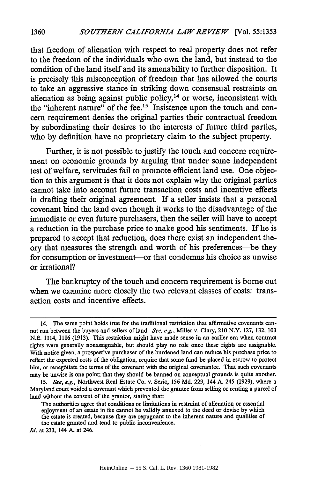that freedom of alienation with respect to real property does not refer to the freedom of the individuals who own the land, but instead to the condition of the land itself and its amenability to further disposition. It is precisely this misconception of freedom that has allowed the courts to take an aggressive stance in striking down consensual restraints on alienation as being against public policy,<sup>14</sup> or worse, inconsistent with the "inherent nature" of the fee.<sup>15</sup> Insistence upon the touch and concern requirement denies the original parties their contractual freedom **by** subordinating their desires to the interests of future third parties, who **by** definition have no proprietary claim to the subject property.

Further, **it** is not possible to justify the touch and concern requirement on economic grounds **by** arguing that under some independent test of welfare, servitudes fail to promote efficient land use. One objection to this argument is that it does not explain why the original parties cannot take into account future transaction costs and incentive effects in drafting their original agreement. If a seller insists that a personal covenant bind the land even though it works to the disadvantage of the immediate or even future purchasers, then the seller will have to accept a reduction in the purchase price to make good his sentiments. If he is prepared to accept that reduction, does there exist an independent theory that measures the strength and worth of his preferences-be they for consumption or investment--or that condemns his choice as unwise or irrational?

The bankruptcy of the touch and concern requirement is borne out when we examine more closely the two relevant classes of costs: transaction costs and incentive effects.

**1360**

<sup>14.</sup> The same point holds true for the traditional restriction that affirmative covenants cannot run between the buyers and sellers of land. *See, e.g.,* Miller v. Clary, 210 N.Y. **127, 132, 103 N.E.** 1114, **1116 (1913).** This restriction might have made sense in an earlier era when contract rights were generally nonassignable, but should play no role once these rights are assignable. With notice given, a prospective purchaser of the burdened land can reduce his purchase price to reflect the expected costs of the obligation, require that some fund be placed in escrow to protect him, or renegotiate the terms of the covenant with the original covenantee. That such covenants may be unwise is one point; that they should be banned on conceptual grounds is quite another.

**<sup>15.</sup>** *See, e.g.,* Northwest Real Estate Co. v. Serio, **156 Md. 229,** 144 **A.** 245 **(1929),** where a Maryland court voided a covenant which prevented the grantee from selling or renting a parcel of land without the consent of the grantor, stating that:

The authorities agree that conditions or limitations in restraint of alienation or essential enjoyment of an estate in fee cannot be validly annexed to the deed or devise **by** which the estate is created, because they are repugnant to the inherent nature and qualities of the estate granted and tend to public inconvenience.

*Id.* at **233,** 144 **A.** at 246.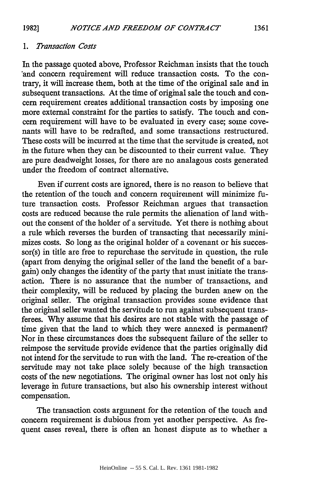#### *1. Transaction Costs*

In the passage quoted above, Professor Reichman insists that the touch 'and concern requirement will reduce transaction costs. To the contrary, it will increase them, both at the time of the original sale and in subsequent transactions. At the time of original sale the touch and concern requirement creates additional transaction costs by imposing one more external constraint for the parties to satisfy. The touch and concern requirement will have to be evaluated in every case; some covenants will have to be redrafted, and some transactions restructured. These costs will be incurred at the time that the servitude is created, not in the future when they can be discounted to their current value. They are pure deadweight losses, for there are no analagous costs generated under the freedom of contract alternative.

Even if current costs are ignored, there is no reason to believe that the retention of the touch and concern requirement will minimize future transaction costs. Professor Reichman argues that transaction costs are reduced because the rule permits the alienation of land without the consent of the holder of a servitude. Yet there is nothing about a rule which reverses the burden of transacting that necessarily minimizes costs. So long as the original holder of a covenant or his successor(s) in title are free to repurchase the servitude in question, the rule (apart from denying the original seller of the land the benefit of a bargain) only changes the identity of the party that must initiate the transaction. There is no assurance that the number of transactions, and their complexity, will be reduced by placing the burden anew on the original seller. The original transaction provides some evidence that the original seller wanted the servitude to run against subsequent transferees. Why assume that his desires are not stable with the passage of time given that the land to which they were annexed is permanent? Nor in these circumstances does the subsequent failure of the seller to reimpose the servitude provide evidence that the parties originally did not intend for the servitude to run with the land. The re-creation of the servitude may not take place solely because of the high transaction costs of the new negotiations. The original owner has lost not only his leverage in future transactions, but also his ownership interest without compensation.

The transaction costs argument for the retention of the touch and concern requirement is dubious from yet another perspective. As frequent cases reveal, there is often an honest dispute as to whether a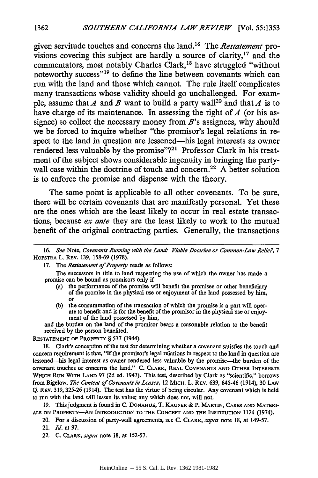given servitude touches and concerns the land.16 The *Restatement* provisions covering this subject are hardly a source of clarity, 17 and the commentators, most notably Charles Clark,<sup>18</sup> have struggled "without noteworthy success"<sup>19</sup> to define the line between covenants which can run with the land and those which cannot. The rule itself complicates many transactions whose validity should go unchallenged. For example, assume that *A* and *B* want to build a party wall<sup>20</sup> and that *A* is to have charge of its maintenance. In assessing the right of **4** (or his assignee) to collect the necessary money from  $B$ 's assignees, why should we be forced to inquire whether "the promisor's legal relations in respect to the land in question are lessened-his legal interests as owner rendered less valuable **by** the promise"?2' Professor Clark in his treatment of the subject shows considerable ingenuity in bringing the partywall case within the doctrine of touch and concern.<sup>22</sup> A better solution is to enforce the promise and dispense with the theory.

The same point is applicable to all other covenants. To be sure, there will be certain covenants that are manifestly personal. Yet these are the ones which are the least likely to occur in real estate transactions, because *ex ante* they are the least likely to work to the mutual benefit of the original contracting parties. Generally, the transactions

The successors in title to land respecting the use of which the owner has made a promise can be bound as promisors only if

- (a) the performance of the promise will benefit the promisee or other beneficiary of the promise in the physical use or enjoyment of the land possessed by him, or
- (b) the consummation of the transaction of which the promise is a part will operate to benefit and is for the benefit of the promisor in the physical use or enjoyment of the land possessed by him,

and the burden on the land of the promisor bears a reasonable relation to the benefit received by the person benefited.

RESTATEMENT OF PROPERTY § 537 (1944).

18. Clark's conception of the test for determining whether a covenant satisfies the touch and concern requirement is that, "If the promisor's legal relations in respect to the land in question are lessened-his legal interest as owner rendered less valuable by the promise-the burden of the covenant touches or concerns the land." **C. CLARK,** REAL **COVENANTS AND OTHER INTERESTS WHICH RUN** WITH **LAND** 97 **(2d** ed. 1947). This test, described **by** Clark as "scientific," borrows from Bigelow, *The Content of Covenants in Leases,* 12 MICH. L. REV. 639, 645-46 (1914), 30 LAW Q. REV. 319, 325-26 (1914). The test has the virtue of being circular. Any covenant which is held to run with the land will lessen its value; any which does not, will not.

19. This judgment is found in C. DONAHUE, T. KAUPER & P. MARTIN, CASES AND MATERI-**ALS ON** PROPERTY-AN INTRODUCTION **TO THE CONCEPT AND THE** INSTITUTION 1124 (1974).

- 20. For a discussion of party-wall agreements, see C. CLARK, *supra* note 18, at 149-57.
- 21. *Id.* at 97.
- 22. C. CLARK, *supra* note 18, at 152-57.

**<sup>16.</sup>** *See* Note, Covenants *Running with the Land- Viable Doctrine or Common-Law Relic?, 7* HOFSTRA L. REV. 139, 158-69 (1978).

<sup>17.</sup> The *Restatement of Property* reads as follows: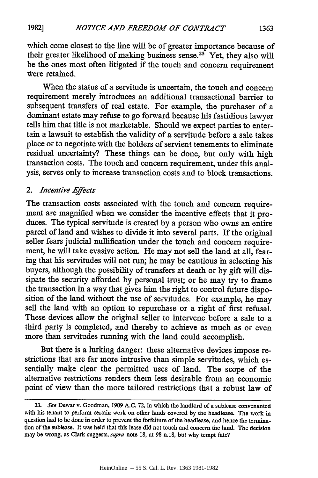which come closest to the line will be of greater importance because of their greater likelihood of making business sense.<sup>23</sup> Yet, they also will be the ones most often litigated if the touch and concern requirement were retained.

When the status of a servitude is uncertain, the touch and concern requirement merely introduces an additional transactional barrier to subsequent transfers of real estate. For example, the purchaser of a dominant estate may refuse to go forward because his fastidious lawyer tells him that title is not marketable. Should we expect parties to entertain a lawsuit to establish the validity of a servitude before a sale takes place or to negotiate with the holders of servient tenements to eliminate residual uncertainty? These things can be done, but only with high transaction costs. The touch and concern requirement, under this analysis, serves only to increase transaction costs and to block transactions.

## *2. Incentive Effects*

The transaction costs associated with the touch and concern requirement are magnified when we consider the incentive effects that it produces. The typical servitude is created by a person who owns an entire parcel of land and wishes to divide it into several parts. If the original seller fears judicial nullification under the touch and concern requirement, he will take evasive action. He may not sell the land at all, fearing that his servitudes will not run; he may be cautious in selecting his buyers, although the possibility of transfers at death or by gift will dissipate the security afforded by personal trust; or he may try to frame the transaction in a way that gives him the right to control future disposition of the land without the use of servitudes. For example, he may sell the land with an option to repurchase or a right of first refusal. These devices allow the original seller to intervene before a sale to a third party is completed, and thereby to achieve as much as or even more than servitudes running with the land could accomplish.

But there is a lurking danger: these alternative devices impose restrictions that are far more intrusive than simple servitudes, which essentially make clear the permitted uses of land. The scope of the alternative restrictions renders them less desirable from an economic point of view than the more tailored restrictions that a robust law of

*<sup>23.</sup> See* Dewar v. Goodman, 1909 A.C. 72, in which the landlord of a sublease convenanted with his tenant to perform certain work on other lands covered by the headlease. The work in question had to be done in order to prevent the forfeiture of the headlease, and hence the termination of the sublease. It was held that this lease did not touch and concern the land. The decision may be wrong, as Clark suggests, *supra* note 18, at 98 n.18, but why tempt fate?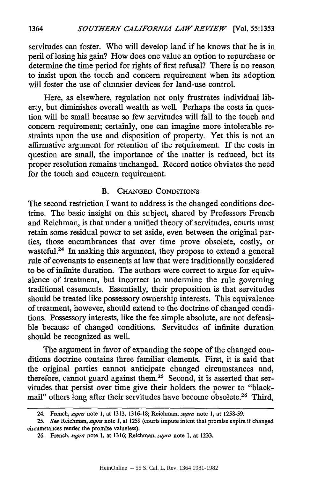servitudes can foster. Who will develop land if he knows that he is in peril of losing his gain? How does one value an option to repurchase or determine the time period for rights of first refusal? There is no reason to insist upon the touch and concern requirement when its adoption will foster the use of clumsier devices for land-use control.

Here, as elsewhere, regulation not only frustrates individual liberty, but diminishes overall wealth as well. Perhaps the costs in question will be small because so few servitudes will fall to the touch and concern requirement; certainly, one can imagine more intolerable restraints upon the use and disposition of property. Yet this is not an affirmative argument for retention of the requirement. If the costs in question are small, the importance of the matter is reduced, but its proper resolution remains unchanged. Record notice obviates the need for the touch and concern requirement.

## B. **CHANGED** CONDITIONS

The second restriction I want to address is the changed conditions doctrine. The basic insight on this subject, shared by Professors French and Reichman, is that under a unified theory of servitudes, courts must retain some residual power to set aside, even between the original parties, those encumbrances that over time prove obsolete, costly, or wasteful.<sup>24</sup> In making this argument, they propose to extend a general rule of covenants to easements at law that were traditionally considered to be of infinite duration. The authors were correct to argue for equivalence of treatment, but incorrect to undermine the rule governing traditional easements. Essentially, their proposition is that servitudes should be treated like possessory ownership interests. This equivalence of treatment, however, should extend to the doctrine of changed conditions. Possessory interests, like the fee simple absolute, are not defeasible because of changed conditions. Servitudes of infinite duration should be recognized as well.

The argument in favor of expanding the scope of the changed conditions doctrine contains three familiar elements. First, it is said that the original parties cannot anticipate changed circumstances and, therefore, cannot guard against them.<sup>25</sup> Second, it is asserted that servitudes that persist over time give their holders the power to "blackmail" others long after their servitudes have become obsolete.<sup>26</sup> Third,

<sup>24.</sup> French, *supra* note 1, at 1313, 1316-18; Reichman, *supra* note **1,** at **1258-59.**

<sup>25.</sup> *See Reichman,supra* note **1,** at 1259 (courts impute intent that promise expire if changed circumstances render the promise valueless).

<sup>26.</sup> French, *supra* note 1, at 1316; Reichman, *supra* note **1,** at 1233.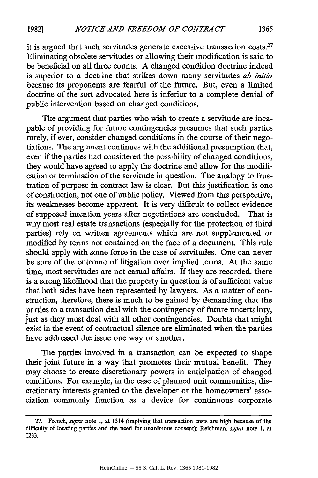it is argued that such servitudes generate excessive transaction costs.27 Eliminating obsolete servitudes or allowing their modification is said to be beneficial on all three counts. A changed condition doctrine indeed is superior to a doctrine that strikes down many servitudes *ab initio* because its proponents are fearful of the future. But, even a limited doctrine of the sort advocated here is inferior to a complete denial of public intervention based on changed conditions.

The argument that parties who wish to create a servitude are incapable of providing for future contingencies presumes that such parties rarely, if ever, consider changed conditions in the course of their negotiations. The argument continues with the additional presumption that, even if the parties had considered the possibility of changed conditions, they would have agreed to apply the doctrine and allow for the modification or termination of the servitude in question. The analogy to frustration of purpose in contract law is clear. But this justification is one of construction, not one of public policy. Viewed from this perspective, its weaknesses become apparent. It is very difficult to collect evidence of supposed intention years after negotiations are concluded. That is why most real estate transactions (especially for the protection of third parties) rely on written agreements which are not supplemented or modified by terms not contained on the face of a document. This rule should apply with some force in the case of servitudes. One can never be sure of the outcome of litigation over implied terms. At the same time, most servitudes are not casual affairs. If they are recorded, there is a strong likelihood that the property in question is of sufficient value that both sides have been represented by lawyers. As a matter of construction, therefore, there is much to be gained by demanding that the parties to a transaction deal with the contingency of future uncertainty, just as they must deal with all other contingencies. Doubts that might exist in the event of contractual silence are eliminated when the parties have addressed the issue one way or another.

The parties involved in a transaction can be expected to shape their joint future in a way that promotes their mutual benefit. They may choose to create discretionary powers in anticipation of changed conditions. For example, in the case of planned unit communities, discretionary interests granted to the developer or the homeowners' association commonly function as a device for continuous corporate

<sup>27.</sup> French, *supra* note **1,** at 1314 (implying that transaction costs are high because of the difficulty of locating parties and the need for unanimous consent); Reichman, *supra* note **1,** at 1233.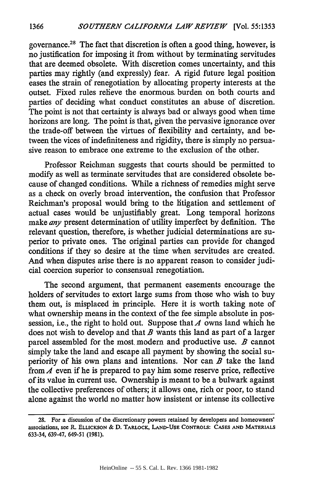governance.<sup>28</sup> The fact that discretion is often a good thing, however, is no justification for imposing it from without by terminating servitudes that are deemed obsolete. With discretion comes uncertainty, and this parties may rightly (and expressly) fear. A rigid future legal position eases the strain of renegotiation by allocating property interests at the outset. Fixed rules relieve the enormous. burden on both courts and parties of deciding what conduct constitutes an abuse of discretion. The point is not that certainty is always bad or always good when time horizons are long. The point is that, given the pervasive ignorance over the trade-off between the virtues of flexibility and certainty, and between the vices of indefiniteness and rigidity, there is simply no persuasive reason to embrace one extreme to the exclusion of the other.

Professor Reichman suggests that courts should be permitted to modify as well as terminate servitudes that are considered obsolete because of changed conditions. While a richness of remedies might serve as a check on overly broad intervention, the confusion that Professor Reichman's proposal would bring to the litigation and settlement of actual cases would be unjustifiably great. Long temporal horizons make *any* present determination of utility imperfect by definition. The relevant question, therefore, is whether judicial determinations are superior to private ones. The original parties can provide for changed conditions if they so desire at the time when servitudes are created. And when disputes arise there is no apparent reason to consider judicial coercion superior to consensual renegotiation.

The second argument, that permanent easements encourage the holders of servitudes to extort large sums from those who wish to buy them out, is misplaced in principle. Here it is worth taking note of what ownership means in the context of the fee simple absolute in possession, i.e., the right to hold out. Suppose that  $A$  owns land which he does not wish to develop and that *B* wants this land as part of a larger parcel assembled for the most. modem and productive use. *B* cannot simply take the land and escape all payment by showing the social superiority of his own plans and intentions. Nor can *B* take the land from  $A$  even if he is prepared to pay him some reserve price, reflective of its value in current use. Ownership is meant to be a bulwark against the collective preferences of others; it allows one, rich or poor, to stand alone against the world no matter how insistent or intense its collective

**<sup>28.</sup> For** a discussion **of** the discretionary powers retained **by** developers **and** homeowners' associations, **see R. ELLICKSON & D. TARLOCK, LAND-USE CONTROLS: CASES AND MATERIALS** 633-34, **639-47,** 649-51 **(1981).**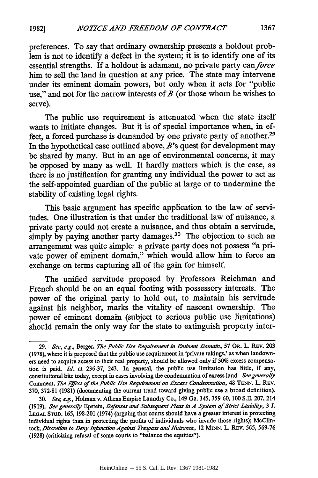preferences. To say that ordinary ownership presents a holdout problem is not to identify a defect in the system; it is to identify one of its essential strengths. If a holdout is adamant, no private party *canforce* him to sell the land in question at any price. The state may intervene under its eminent domain powers, but only when it acts for "public use," and not for the narrow interests of *B* (or those whom he wishes to serve).

The public use requirement is attenuated when the state itself wants to imitiate changes. But it is of special importance when, in effect, a forced purchase is demanded by one private party of another.<sup>29</sup> In the hypothetical case outlined above, *B's* quest for development may be shared **by** many. But in an age of environmental concerns, it may be opposed **by** many as well. It hardly matters which is the case, as there is no justification for granting any individual the power to act as the self-appointed guardian of the public at large or to undermine the stability of existing legal rights.

This basic argument has specific application to the law of servitudes. One illustration is that under the traditional law of nuisance, a private party could not create a nuisance, and thus obtain a servitude, simply by paying another party damages.<sup>30</sup> The objection to such an arrangement was quite simple: a private party does not possess "a private power of eminent domain," which would allow him to force an exchange on terms capturing all of the gain for himself.

The unified servitude proposed **by** Professors Reichman and French should be on an equal footing with possessory interests. The power of the original party to hold out, to maintain his servitude against his neighbor, marks the vitality of nascent ownership. The power of eminent domain (subject to serious public use limitations) should remain the only way for the state to extinguish property inter-

*<sup>29.</sup> See,* e.g., Berger, *The Public Use Requirement in Eminent Domain,* **57 OR.** L. **REv. 203 (1978),** where it is proposed that the public use requirement in 'private takings,' as when landowners need to acquire access to their real property, should be allowed only if **50%** excess compensation is paid. *Id.* at **236-37,** 243. In general, the public use limitation has little, if any, constitutional bite today, except in cases involving the condemnation of excess land. *See generally* Comment, *The Effect of the Public Use Requirement on Excess Condemnation,* 48 **TENN.** L. REV. **370, 372-81 (1981)** (documenting the current trend toward giving public use a broad definition).

**<sup>30.</sup>** *See, e.g.,* Holman v. Athens Empire Laundry Co., 149 Ga. **345, 359-60, 100 S.E.** 207, 214 **(1919).** *See generally* Epstein, *Defenses and Subsequent Pleas in A System of Strict Liability,* **3 J. LEGAL STUD. 165, 198-201** (1974) (arguing that courts should have a greater interest in protecting individual rights than in protecting the profits of individuals who invade those rights); McClintock, *Discretion to Deny Injznction Against Trespass and Nuisance,* 12 **MINN.** L. REv. **565, 569-76** (1928) (criticizing refusal of some courts to "balance the equities").